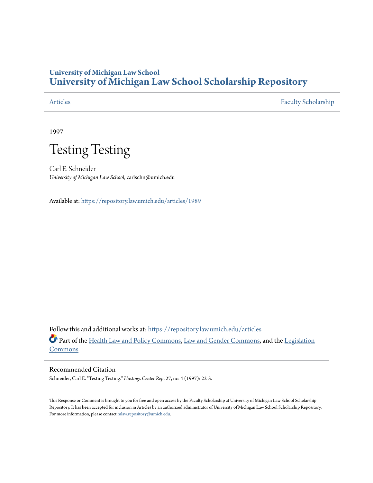### **University of Michigan Law School [University of Michigan Law School Scholarship Repository](https://repository.law.umich.edu?utm_source=repository.law.umich.edu%2Farticles%2F1989&utm_medium=PDF&utm_campaign=PDFCoverPages)**

[Articles](https://repository.law.umich.edu/articles?utm_source=repository.law.umich.edu%2Farticles%2F1989&utm_medium=PDF&utm_campaign=PDFCoverPages) [Faculty Scholarship](https://repository.law.umich.edu/faculty_scholarship?utm_source=repository.law.umich.edu%2Farticles%2F1989&utm_medium=PDF&utm_campaign=PDFCoverPages)

1997

## Testing Testing

Carl E. Schneider *University of Michigan Law School*, carlschn@umich.edu

Available at: <https://repository.law.umich.edu/articles/1989>

Follow this and additional works at: [https://repository.law.umich.edu/articles](https://repository.law.umich.edu/articles?utm_source=repository.law.umich.edu%2Farticles%2F1989&utm_medium=PDF&utm_campaign=PDFCoverPages) Part of the [Health Law and Policy Commons](http://network.bepress.com/hgg/discipline/901?utm_source=repository.law.umich.edu%2Farticles%2F1989&utm_medium=PDF&utm_campaign=PDFCoverPages), [Law and Gender Commons](http://network.bepress.com/hgg/discipline/1298?utm_source=repository.law.umich.edu%2Farticles%2F1989&utm_medium=PDF&utm_campaign=PDFCoverPages), and the [Legislation](http://network.bepress.com/hgg/discipline/859?utm_source=repository.law.umich.edu%2Farticles%2F1989&utm_medium=PDF&utm_campaign=PDFCoverPages) [Commons](http://network.bepress.com/hgg/discipline/859?utm_source=repository.law.umich.edu%2Farticles%2F1989&utm_medium=PDF&utm_campaign=PDFCoverPages)

#### Recommended Citation

Schneider, Carl E. "Testing Testing." *Hastings Center Rep*. 27, no. 4 (1997): 22-3.

This Response or Comment is brought to you for free and open access by the Faculty Scholarship at University of Michigan Law School Scholarship Repository. It has been accepted for inclusion in Articles by an authorized administrator of University of Michigan Law School Scholarship Repository. For more information, please contact [mlaw.repository@umich.edu](mailto:mlaw.repository@umich.edu).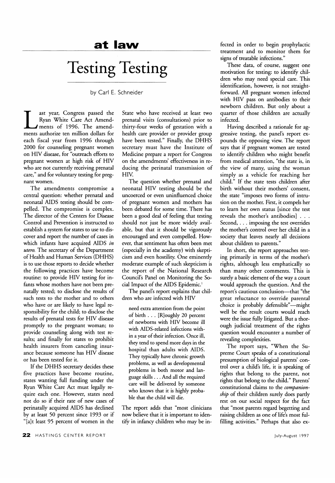# Testing Testing

by Carl E. Schneider

ast year, Congress passed the Ryan White Care Act Amend ments of 1996. The amend ments authorize ten million dollars for each fiscal year from 1996 through 2000 for counseling pregnant women on HIV disease, for "outreach efforts to pregnant women at high risk of HIV who are not currently receiving prenatal care," and for voluntary testing for preg nant women.

 The amendments compromise a central question: whether prenatal and neonatal AIDS testing should be com pelled. The compromise is complex. The director of the Centers for Disease Control and Prevention is instructed to establish a system for states to use to dis cover and report the number of cases in which infants have acquired AIDS in utero. The secretary of the Department of Health and Human Services (DHHS) is to use those reports to decide whether the following practices have become routine: to provide HIV testing for in fants whose mothers have not been pre natally tested; to disclose the results of such tests to the mother and to others who have or are likely to have legal re sponsibility for the child; to disclose the results of prenatal tests for HIV disease promptly to the pregnant woman; to provide counseling along with test re sults; and finally for states to prohibit health insurers from canceling insur ance because someone has HIV disease or has been tested for it.

 If the DHHS secretary decides these five practices have become routine, states wanting full funding under the Ryan White Care Act must legally re quire each one. However, states need not do so if their rate of new cases of perinatally acquired AIDS has declined by at least 50 percent since 1993 or if "[a]t least 95 percent of women in the

 State who have received at least two prenatal visits (consultations) prior to thirty-four weeks of gestation with a health care provider or provider group have been tested." Finally, the DHHS secretary must have the Institute of Medicine prepare a report for Congress on the amendments' effectiveness in re ducing the perinatal transmission of HIV

 The question whether prenatal and neonatal HIV testing should be the uncoerced or even uninfluenced choice of pregnant women and mothers has been debated for some time. There has been a good deal of feeling that testing should not just be more widely avail able, but that it should be vigorously encouraged and even compelled. How ever, that sentiment has often been met (especially in the academy) with skepti cism and even hostility. One eminently moderate example of such skepticism is the report of the National Research Council's Panel on Monitoring the So cial Impact of the AIDS Epidemic.'

 The panel's report explains that chil dren who are infected with HIV

 need extra attention from the point of birth .. . [R]oughly 20 percent of newborns with HIV become ill with AIDS-related infections with in a year of their infection. Once ill, they tend to spend more days in the hospital than adults with AIDS. They typically have chronic growth problems, as well as developmental problems in both motor and lan guage skills ... And all the required care will be delivered by someone who knows that it is highly proba ble that the child will die.

 The report adds that "most clinicians now believe that it is important to iden tify in infancy children who may be in fected in order to begin prophylactic treatment and to monitor them for signs of treatable infections.'

 These data, of course, suggest one motivation for testing: to identify chil dren who may need special care. This identification, however, is not straight forward. All pregnant women infected with HIV pass on antibodies to their newborn children. But only about a quarter of those children are actually infected.

 Having described a rationale for ag gressive testing, the panel's report ex pounds the opposing view. The report says that if pregnant women are tested to identify children who might benefit from medical attention, "the state is, in the view of many, using the woman simply as a vehicle for reaching her child." If the state tests children after birth without their mothers' consent, the state "imposes two forms of intru sion on the mother. First, it compels her to learn her own status [since the test reveals the mother's antibodies] . . . Second, . . . imposing the test overrides the mother's control over her child in a society that leaves nearly all decisions about children to parents."

 In short, the report approaches test ing primarily in terms of the mother's rights, although less emphatically so than many other comments. This is surely a basic element of the way a court would approach the question. And the report's cautious conclusion-that "the great reluctance to override parental choice is probably defensible"---might well be the result courts would reach were the issue fully litigated. But a thor ough judicial treatment of the rights question would encounter a number of revealing complexities.

 The report says, "When the Su preme Court speaks of a constitutional presumption of biological parents' con trol over a child's life, it is speaking of rights that belong to the parent, not rights that belong to the child." Parents' constitutional claims to the *companion*ship of their children surely does partly rest on our social respect for the fact that "most parents regard begetting and raising children as one of life's most ful filling activities." Perhaps that also ex